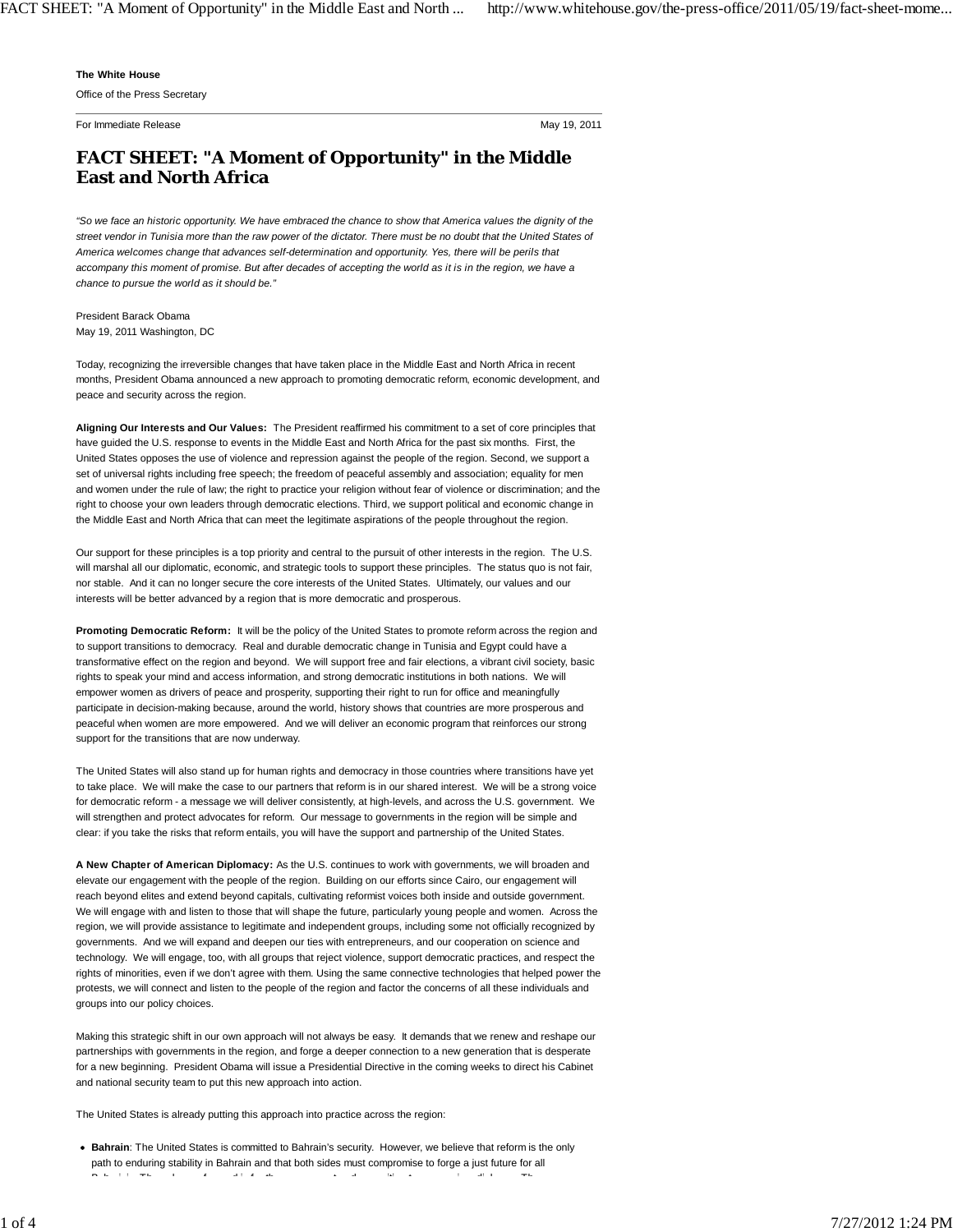## **The White House**

Office of the Press Secretary

For Immediate Release **May 19, 2011** New York 19, 2011

## **FACT SHEET: "A Moment of Opportunity" in the Middle East and North Africa**

*"So we face an historic opportunity. We have embraced the chance to show that America values the dignity of the street vendor in Tunisia more than the raw power of the dictator. There must be no doubt that the United States of America welcomes change that advances self-determination and opportunity. Yes, there will be perils that accompany this moment of promise. But after decades of accepting the world as it is in the region, we have a chance to pursue the world as it should be."*

President Barack Obama May 19, 2011 Washington, DC

Today, recognizing the irreversible changes that have taken place in the Middle East and North Africa in recent months, President Obama announced a new approach to promoting democratic reform, economic development, and peace and security across the region.

**Aligning Our Interests and Our Values:** The President reaffirmed his commitment to a set of core principles that have guided the U.S. response to events in the Middle East and North Africa for the past six months. First, the United States opposes the use of violence and repression against the people of the region. Second, we support a set of universal rights including free speech; the freedom of peaceful assembly and association; equality for men and women under the rule of law; the right to practice your religion without fear of violence or discrimination; and the right to choose your own leaders through democratic elections. Third, we support political and economic change in the Middle East and North Africa that can meet the legitimate aspirations of the people throughout the region.

Our support for these principles is a top priority and central to the pursuit of other interests in the region. The U.S. will marshal all our diplomatic, economic, and strategic tools to support these principles. The status quo is not fair, nor stable. And it can no longer secure the core interests of the United States. Ultimately, our values and our interests will be better advanced by a region that is more democratic and prosperous.

**Promoting Democratic Reform:** It will be the policy of the United States to promote reform across the region and to support transitions to democracy. Real and durable democratic change in Tunisia and Egypt could have a transformative effect on the region and beyond. We will support free and fair elections, a vibrant civil society, basic rights to speak your mind and access information, and strong democratic institutions in both nations. We will empower women as drivers of peace and prosperity, supporting their right to run for office and meaningfully participate in decision-making because, around the world, history shows that countries are more prosperous and peaceful when women are more empowered. And we will deliver an economic program that reinforces our strong support for the transitions that are now underway.

The United States will also stand up for human rights and democracy in those countries where transitions have yet to take place. We will make the case to our partners that reform is in our shared interest. We will be a strong voice for democratic reform - a message we will deliver consistently, at high-levels, and across the U.S. government. We will strengthen and protect advocates for reform. Our message to governments in the region will be simple and clear: if you take the risks that reform entails, you will have the support and partnership of the United States.

**A New Chapter of American Diplomacy:** As the U.S. continues to work with governments, we will broaden and elevate our engagement with the people of the region. Building on our efforts since Cairo, our engagement will reach beyond elites and extend beyond capitals, cultivating reformist voices both inside and outside government. We will engage with and listen to those that will shape the future, particularly young people and women. Across the region, we will provide assistance to legitimate and independent groups, including some not officially recognized by governments. And we will expand and deepen our ties with entrepreneurs, and our cooperation on science and technology. We will engage, too, with all groups that reject violence, support democratic practices, and respect the rights of minorities, even if we don't agree with them. Using the same connective technologies that helped power the protests, we will connect and listen to the people of the region and factor the concerns of all these individuals and groups into our policy choices.

Making this strategic shift in our own approach will not always be easy. It demands that we renew and reshape our partnerships with governments in the region, and forge a deeper connection to a new generation that is desperate for a new beginning. President Obama will issue a Presidential Directive in the coming weeks to direct his Cabinet and national security team to put this new approach into action.

The United States is already putting this approach into practice across the region:

**Bahrain**: The United States is committed to Bahrain's security. However, we believe that reform is the only path to enduring stability in Bahrain and that both sides must compromise to forge a just future for all B h i i i ti t tha i di l f d i di l f d i di l f d i di l f d i di l f d i di l f d i di l t d i di l t t <del>i d</del><br>Di l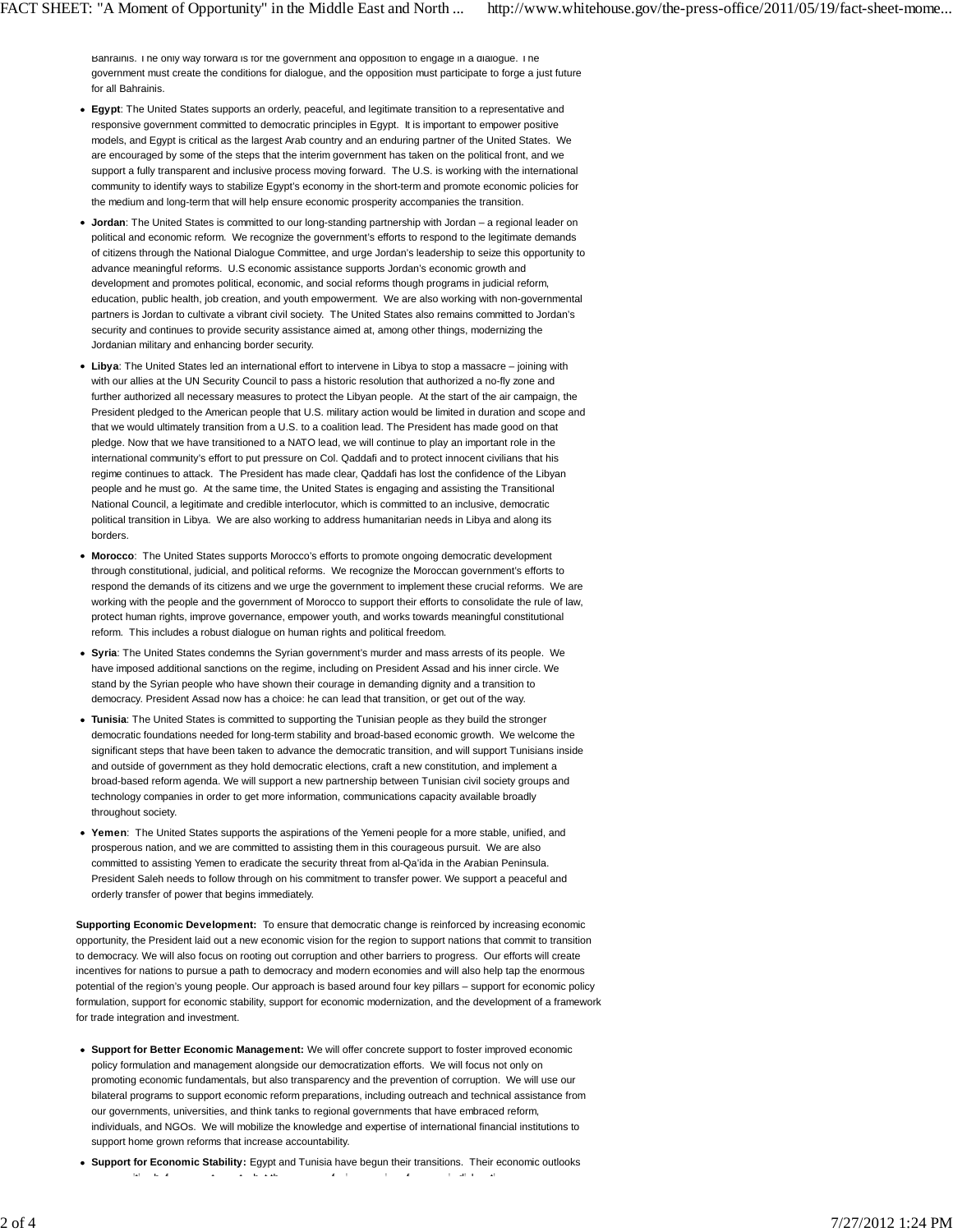Bahrainis. The only way forward is for the government and opposition to engage in a dialogue. The government must create the conditions for dialogue, and the opposition must participate to forge a just future for all Bahrainis.

- **Egypt**: The United States supports an orderly, peaceful, and legitimate transition to a representative and responsive government committed to democratic principles in Egypt. It is important to empower positive models, and Egypt is critical as the largest Arab country and an enduring partner of the United States. We are encouraged by some of the steps that the interim government has taken on the political front, and we support a fully transparent and inclusive process moving forward. The U.S. is working with the international community to identify ways to stabilize Egypt's economy in the short-term and promote economic policies for the medium and long-term that will help ensure economic prosperity accompanies the transition.
- **Jordan**: The United States is committed to our long-standing partnership with Jordan a regional leader on political and economic reform. We recognize the government's efforts to respond to the legitimate demands of citizens through the National Dialogue Committee, and urge Jordan's leadership to seize this opportunity to advance meaningful reforms. U.S economic assistance supports Jordan's economic growth and development and promotes political, economic, and social reforms though programs in judicial reform, education, public health, job creation, and youth empowerment. We are also working with non-governmental partners is Jordan to cultivate a vibrant civil society. The United States also remains committed to Jordan's security and continues to provide security assistance aimed at, among other things, modernizing the Jordanian military and enhancing border security.
- **Libya**: The United States led an international effort to intervene in Libya to stop a massacre joining with with our allies at the UN Security Council to pass a historic resolution that authorized a no-fly zone and further authorized all necessary measures to protect the Libyan people. At the start of the air campaign, the President pledged to the American people that U.S. military action would be limited in duration and scope and that we would ultimately transition from a U.S. to a coalition lead. The President has made good on that pledge. Now that we have transitioned to a NATO lead, we will continue to play an important role in the international community's effort to put pressure on Col. Qaddafi and to protect innocent civilians that his regime continues to attack. The President has made clear, Qaddafi has lost the confidence of the Libyan people and he must go. At the same time, the United States is engaging and assisting the Transitional National Council, a legitimate and credible interlocutor, which is committed to an inclusive, democratic political transition in Libya. We are also working to address humanitarian needs in Libya and along its borders.
- **Morocco**: The United States supports Morocco's efforts to promote ongoing democratic development through constitutional, judicial, and political reforms. We recognize the Moroccan government's efforts to respond the demands of its citizens and we urge the government to implement these crucial reforms. We are working with the people and the government of Morocco to support their efforts to consolidate the rule of law, protect human rights, improve governance, empower youth, and works towards meaningful constitutional reform. This includes a robust dialogue on human rights and political freedom.
- **Syria**: The United States condemns the Syrian government's murder and mass arrests of its people. We have imposed additional sanctions on the regime, including on President Assad and his inner circle. We stand by the Syrian people who have shown their courage in demanding dignity and a transition to democracy. President Assad now has a choice: he can lead that transition, or get out of the way.
- **Tunisia**: The United States is committed to supporting the Tunisian people as they build the stronger democratic foundations needed for long-term stability and broad-based economic growth. We welcome the significant steps that have been taken to advance the democratic transition, and will support Tunisians inside and outside of government as they hold democratic elections, craft a new constitution, and implement a broad-based reform agenda. We will support a new partnership between Tunisian civil society groups and technology companies in order to get more information, communications capacity available broadly throughout society.
- **Yemen**: The United States supports the aspirations of the Yemeni people for a more stable, unified, and prosperous nation, and we are committed to assisting them in this courageous pursuit. We are also committed to assisting Yemen to eradicate the security threat from al-Qa'ida in the Arabian Peninsula. President Saleh needs to follow through on his commitment to transfer power. We support a peaceful and orderly transfer of power that begins immediately.

**Supporting Economic Development:** To ensure that democratic change is reinforced by increasing economic opportunity, the President laid out a new economic vision for the region to support nations that commit to transition to democracy. We will also focus on rooting out corruption and other barriers to progress. Our efforts will create incentives for nations to pursue a path to democracy and modern economies and will also help tap the enormous potential of the region's young people. Our approach is based around four key pillars – support for economic policy formulation, support for economic stability, support for economic modernization, and the development of a framework for trade integration and investment.

- **Support for Better Economic Management:** We will offer concrete support to foster improved economic policy formulation and management alongside our democratization efforts. We will focus not only on promoting economic fundamentals, but also transparency and the prevention of corruption. We will use our bilateral programs to support economic reform preparations, including outreach and technical assistance from our governments, universities, and think tanks to regional governments that have embraced reform, individuals, and NGOs. We will mobilize the knowledge and expertise of international financial institutions to support home grown reforms that increase accountability.
- **Support for Economic Stability:** Egypt and Tunisia have begun their transitions. Their economic outlooks iti b f t t b t th f i i f i di l ti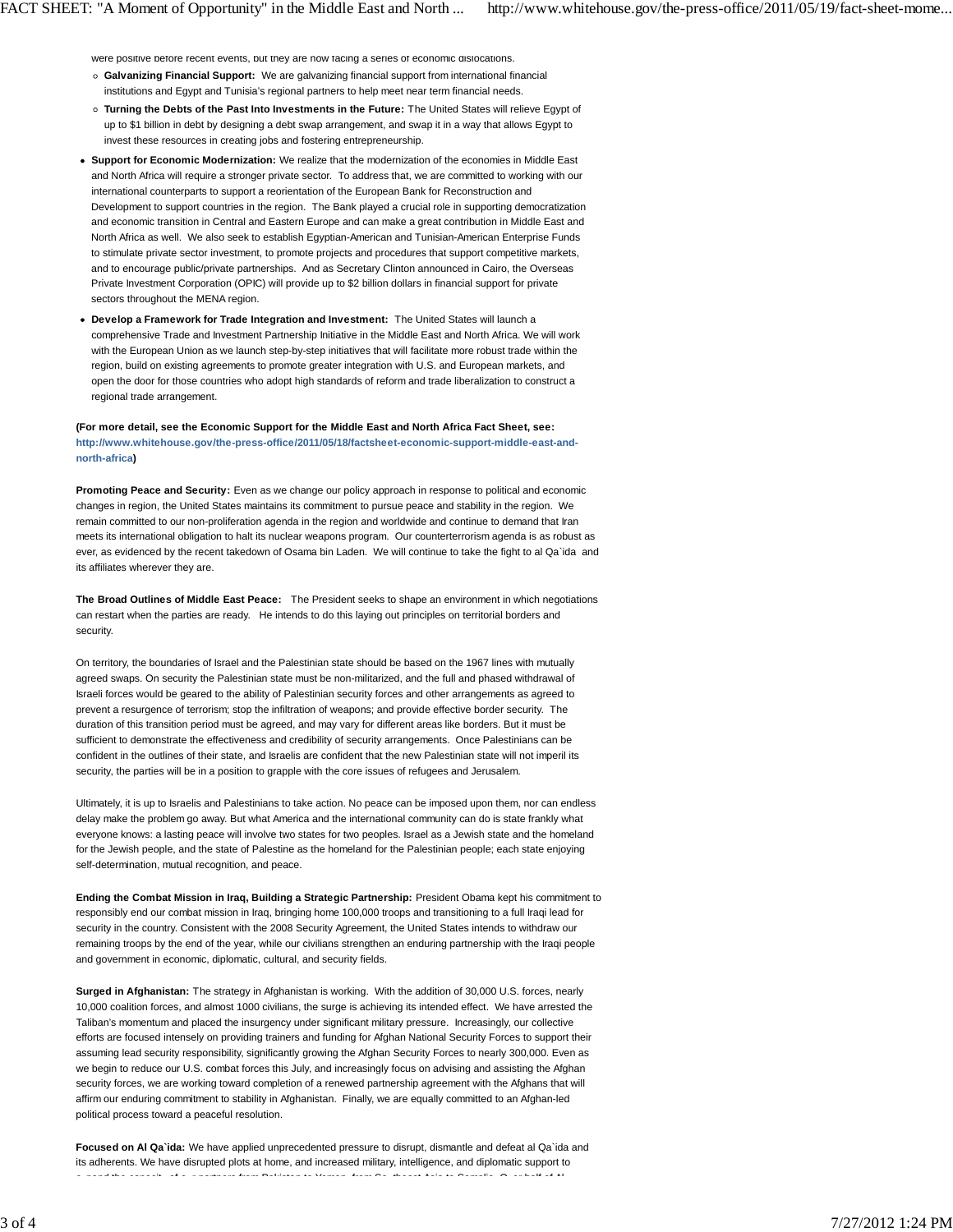were positive before recent events, but they are now facing a series of economic dislocations.

- **Galvanizing Financial Support:** We are galvanizing financial support from international financial institutions and Egypt and Tunisia's regional partners to help meet near term financial needs.
- **Turning the Debts of the Past Into Investments in the Future:** The United States will relieve Egypt of up to \$1 billion in debt by designing a debt swap arrangement, and swap it in a way that allows Egypt to invest these resources in creating jobs and fostering entrepreneurship.
- **Support for Economic Modernization:** We realize that the modernization of the economies in Middle East and North Africa will require a stronger private sector. To address that, we are committed to working with our international counterparts to support a reorientation of the European Bank for Reconstruction and Development to support countries in the region. The Bank played a crucial role in supporting democratization and economic transition in Central and Eastern Europe and can make a great contribution in Middle East and North Africa as well. We also seek to establish Egyptian-American and Tunisian-American Enterprise Funds to stimulate private sector investment, to promote projects and procedures that support competitive markets, and to encourage public/private partnerships. And as Secretary Clinton announced in Cairo, the Overseas Private Investment Corporation (OPIC) will provide up to \$2 billion dollars in financial support for private sectors throughout the MENA region.
- **Develop a Framework for Trade Integration and Investment:** The United States will launch a comprehensive Trade and Investment Partnership Initiative in the Middle East and North Africa. We will work with the European Union as we launch step-by-step initiatives that will facilitate more robust trade within the region, build on existing agreements to promote greater integration with U.S. and European markets, and open the door for those countries who adopt high standards of reform and trade liberalization to construct a regional trade arrangement.

**(For more detail, see the Economic Support for the Middle East and North Africa Fact Sheet, see: http://www.whitehouse.gov/the-press-office/2011/05/18/factsheet-economic-support-middle-east-andnorth-africa)** 

**Promoting Peace and Security:** Even as we change our policy approach in response to political and economic changes in region, the United States maintains its commitment to pursue peace and stability in the region. We remain committed to our non-proliferation agenda in the region and worldwide and continue to demand that Iran meets its international obligation to halt its nuclear weapons program. Our counterterrorism agenda is as robust as ever, as evidenced by the recent takedown of Osama bin Laden. We will continue to take the fight to al Qa`ida and its affiliates wherever they are.

**The Broad Outlines of Middle East Peace:** The President seeks to shape an environment in which negotiations can restart when the parties are ready. He intends to do this laying out principles on territorial borders and security.

On territory, the boundaries of Israel and the Palestinian state should be based on the 1967 lines with mutually agreed swaps. On security the Palestinian state must be non-militarized, and the full and phased withdrawal of Israeli forces would be geared to the ability of Palestinian security forces and other arrangements as agreed to prevent a resurgence of terrorism; stop the infiltration of weapons; and provide effective border security. The duration of this transition period must be agreed, and may vary for different areas like borders. But it must be sufficient to demonstrate the effectiveness and credibility of security arrangements. Once Palestinians can be confident in the outlines of their state, and Israelis are confident that the new Palestinian state will not imperil its security, the parties will be in a position to grapple with the core issues of refugees and Jerusalem.

Ultimately, it is up to Israelis and Palestinians to take action. No peace can be imposed upon them, nor can endless delay make the problem go away. But what America and the international community can do is state frankly what everyone knows: a lasting peace will involve two states for two peoples. Israel as a Jewish state and the homeland for the Jewish people, and the state of Palestine as the homeland for the Palestinian people; each state enjoying self-determination, mutual recognition, and peace.

**Ending the Combat Mission in Iraq, Building a Strategic Partnership:** President Obama kept his commitment to responsibly end our combat mission in Iraq, bringing home 100,000 troops and transitioning to a full Iraqi lead for security in the country. Consistent with the 2008 Security Agreement, the United States intends to withdraw our remaining troops by the end of the year, while our civilians strengthen an enduring partnership with the Iraqi people and government in economic, diplomatic, cultural, and security fields.

**Surged in Afghanistan:** The strategy in Afghanistan is working. With the addition of 30,000 U.S. forces, nearly 10,000 coalition forces, and almost 1000 civilians, the surge is achieving its intended effect. We have arrested the Taliban's momentum and placed the insurgency under significant military pressure. Increasingly, our collective efforts are focused intensely on providing trainers and funding for Afghan National Security Forces to support their assuming lead security responsibility, significantly growing the Afghan Security Forces to nearly 300,000. Even as we begin to reduce our U.S. combat forces this July, and increasingly focus on advising and assisting the Afghan security forces, we are working toward completion of a renewed partnership agreement with the Afghans that will affirm our enduring commitment to stability in Afghanistan. Finally, we are equally committed to an Afghan-led political process toward a peaceful resolution.

**Focused on Al Qa`ida:** We have applied unprecedented pressure to disrupt, dismantle and defeat al Qa`ida and its adherents. We have disrupted plots at home, and increased military, intelligence, and diplomatic support to e pand the capacit of o r partners from Pakistan to Yemen from So theast Asia to Somalia O er half of Al